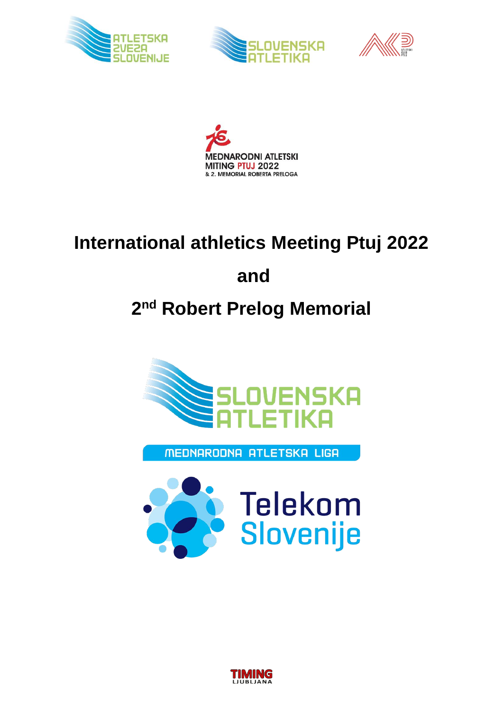







# **International athletics Meeting Ptuj 2022**

## **and**

## **2 nd Robert Prelog Memorial**



MEDNARODNA ATLETSKA LIGA



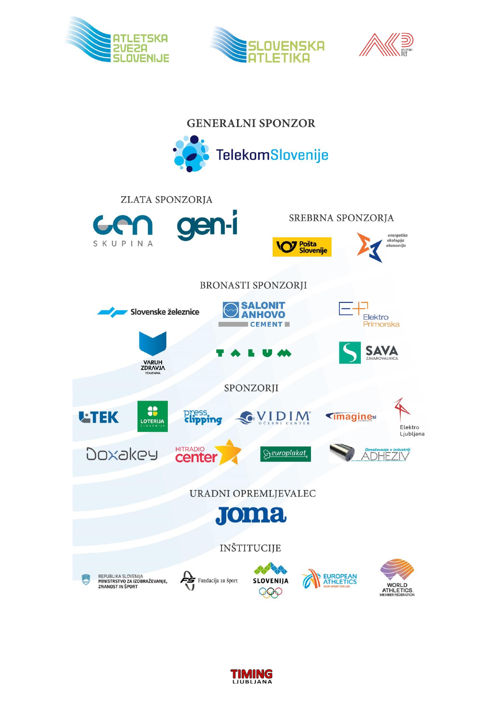







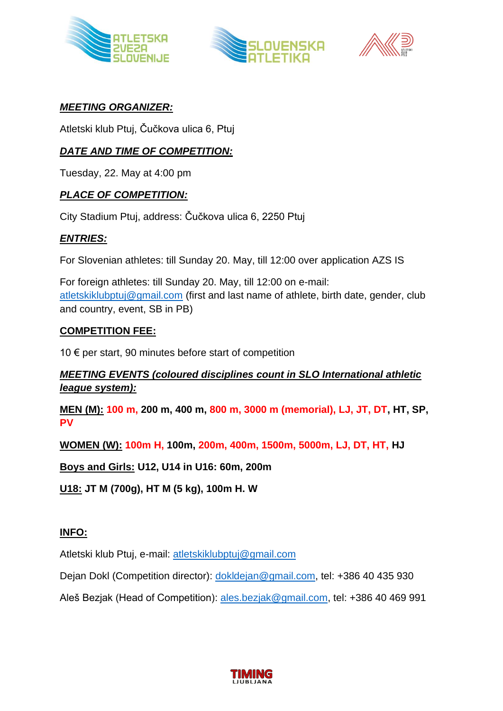





#### *MEETING ORGANIZER:*

Atletski klub Ptuj, Čučkova ulica 6, Ptuj

#### *DATE AND TIME OF COMPETITION:*

Tuesday, 22. May at 4:00 pm

#### *PLACE OF COMPETITION:*

City Stadium Ptuj, address: Čučkova ulica 6, 2250 Ptuj

#### *ENTRIES:*

For Slovenian athletes: till Sunday 20. May, till 12:00 over application AZS IS

For foreign athletes: till Sunday 20. May, till 12:00 on e-mail: [atletskiklubptuj@gmail.com](mailto:atletskiklubptuj@gmail.com) (first and last name of athlete, birth date, gender, club and country, event, SB in PB)

#### **COMPETITION FEE:**

10  $∈$  per start, 90 minutes before start of competition

#### *MEETING EVENTS (coloured disciplines count in SLO International athletic league system):*

**MEN (M): 100 m, 200 m, 400 m, 800 m, 3000 m (memorial), LJ, JT, DT, HT, SP, PV**

**WOMEN (W): 100m H, 100m, 200m, 400m, 1500m, 5000m, LJ, DT, HT, HJ**

**Boys and Girls: U12, U14 in U16: 60m, 200m**

**U18: JT M (700g), HT M (5 kg), 100m H. W**

#### **INFO:**

Atletski klub Ptuj, e-mail: [atletskiklubptuj@gmail.com](mailto:atletskiklubptuj@gmail.com)

Dejan Dokl (Competition director): [dokldejan@gmail.com,](mailto:dokldejan@gmail.com) tel: +386 40 435 930

Aleš Bezjak (Head of Competition): [ales.bezjak@gmail.com,](mailto:ales.bezjak@gmail.com) tel: +386 40 469 991

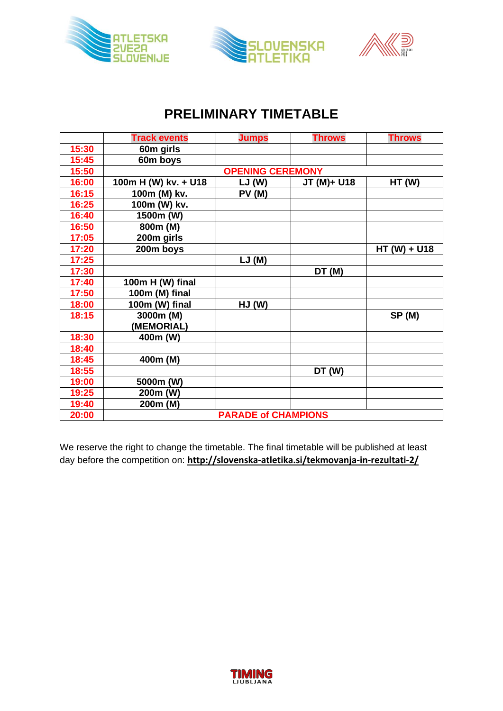





### **PRELIMINARY TIMETABLE**

|       | <b>Track events</b>        | <b>Jumps</b> | <b>Throws</b> | <b>Throws</b> |
|-------|----------------------------|--------------|---------------|---------------|
| 15:30 | 60m girls                  |              |               |               |
| 15:45 | 60m boys                   |              |               |               |
| 15:50 | <b>OPENING CEREMONY</b>    |              |               |               |
| 16:00 | 100m H (W) kv. + U18       | LJ(W)        | JT (M)+ U18   | HT(W)         |
| 16:15 | 100m (M) kv.               | PV(M)        |               |               |
| 16:25 | 100m (W) kv.               |              |               |               |
| 16:40 | 1500m (W)                  |              |               |               |
| 16:50 | 800m (M)                   |              |               |               |
| 17:05 | 200m girls                 |              |               |               |
| 17:20 | 200m boys                  |              |               | HT (W) + U18  |
| 17:25 |                            | LJ(M)        |               |               |
| 17:30 |                            |              | DT(M)         |               |
| 17:40 | 100m H (W) final           |              |               |               |
| 17:50 | 100m (M) final             |              |               |               |
| 18:00 | 100m (W) final             | HJ(W)        |               |               |
| 18:15 | 3000m (M)                  |              |               | SP(M)         |
|       | (MEMORIAL)                 |              |               |               |
| 18:30 | 400m (W)                   |              |               |               |
| 18:40 |                            |              |               |               |
| 18:45 | 400m (M)                   |              |               |               |
| 18:55 |                            |              | DT (W)        |               |
| 19:00 | 5000m (W)                  |              |               |               |
| 19:25 | 200m (W)                   |              |               |               |
| 19:40 | 200m (M)                   |              |               |               |
| 20:00 | <b>PARADE of CHAMPIONS</b> |              |               |               |

We reserve the right to change the timetable. The final timetable will be published at least day before the competition on: **http://slovenska-atletika.si/tekmovanja-in-rezultati-2/**